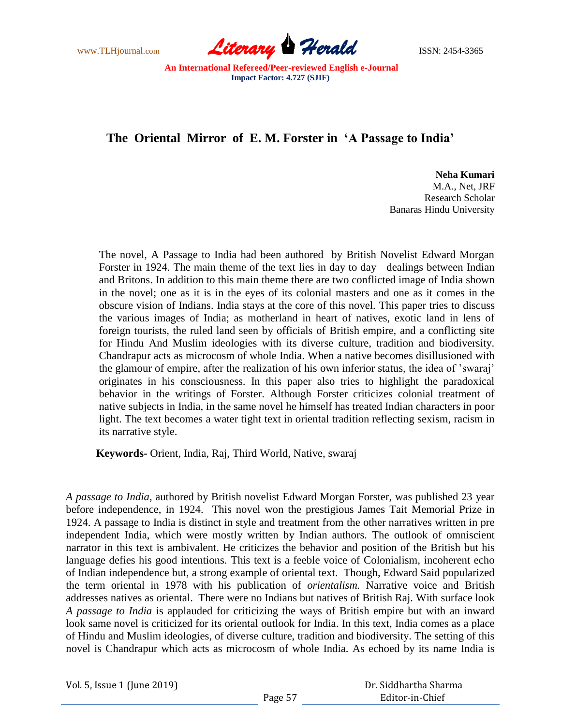www.TLHjournal.com **Literary Herald ISSN: 2454-3365** 

# **The Oriental Mirror of E. M. Forster in 'A Passage to India'**

**Neha Kumari**  M.A., Net, JRF Research Scholar Banaras Hindu University

 The novel, A Passage to India had been authored by British Novelist Edward Morgan Forster in 1924. The main theme of the text lies in day to day dealings between Indian and Britons. In addition to this main theme there are two conflicted image of India shown in the novel; one as it is in the eyes of its colonial masters and one as it comes in the obscure vision of Indians. India stays at the core of this novel. This paper tries to discuss the various images of India; as motherland in heart of natives, exotic land in lens of foreign tourists, the ruled land seen by officials of British empire, and a conflicting site for Hindu And Muslim ideologies with its diverse culture, tradition and biodiversity. Chandrapur acts as microcosm of whole India. When a native becomes disillusioned with the glamour of empire, after the realization of his own inferior status, the idea of "swaraj" originates in his consciousness. In this paper also tries to highlight the paradoxical behavior in the writings of Forster. Although Forster criticizes colonial treatment of native subjects in India, in the same novel he himself has treated Indian characters in poor light. The text becomes a water tight text in oriental tradition reflecting sexism, racism in its narrative style.

 **Keywords-** Orient, India, Raj, Third World, Native, swaraj

*A passage to India*, authored by British novelist Edward Morgan Forster, was published 23 year before independence, in 1924. This novel won the prestigious James Tait Memorial Prize in 1924. A passage to India is distinct in style and treatment from the other narratives written in pre independent India, which were mostly written by Indian authors. The outlook of omniscient narrator in this text is ambivalent. He criticizes the behavior and position of the British but his language defies his good intentions. This text is a feeble voice of Colonialism, incoherent echo of Indian independence but, a strong example of oriental text. Though, Edward Said popularized the term oriental in 1978 with his publication of *orientalism.* Narrative voice and British addresses natives as oriental. There were no Indians but natives of British Raj. With surface look *A passage to India* is applauded for criticizing the ways of British empire but with an inward look same novel is criticized for its oriental outlook for India. In this text, India comes as a place of Hindu and Muslim ideologies, of diverse culture, tradition and biodiversity. The setting of this novel is Chandrapur which acts as microcosm of whole India. As echoed by its name India is

Vol. 5, Issue 1 (June 2019)

 Dr. Siddhartha Sharma Editor-in-Chief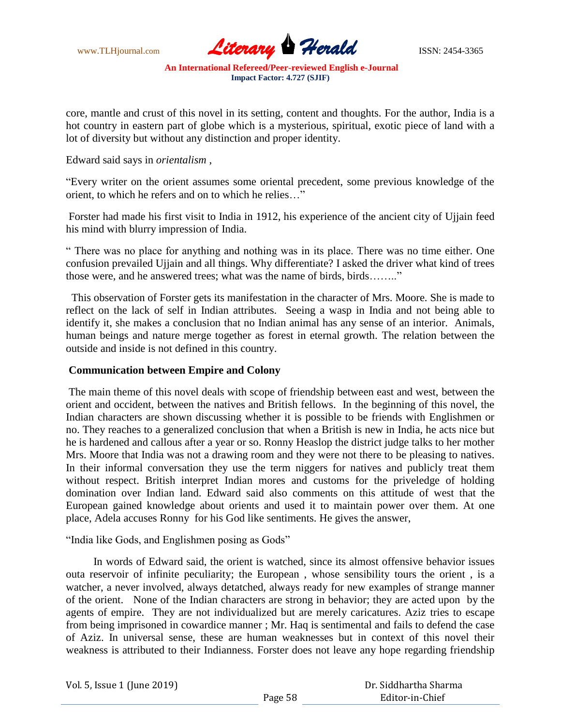www.TLHjournal.com **Literary Herald ISSN: 2454-3365** 

core, mantle and crust of this novel in its setting, content and thoughts. For the author, India is a hot country in eastern part of globe which is a mysterious, spiritual, exotic piece of land with a lot of diversity but without any distinction and proper identity.

Edward said says in *orientalism* ,

"Every writer on the orient assumes some oriental precedent, some previous knowledge of the orient, to which he refers and on to which he relies…"

Forster had made his first visit to India in 1912, his experience of the ancient city of Ujjain feed his mind with blurry impression of India.

" There was no place for anything and nothing was in its place. There was no time either. One confusion prevailed Ujjain and all things. Why differentiate? I asked the driver what kind of trees those were, and he answered trees; what was the name of birds, birds…….."

 This observation of Forster gets its manifestation in the character of Mrs. Moore. She is made to reflect on the lack of self in Indian attributes. Seeing a wasp in India and not being able to identify it, she makes a conclusion that no Indian animal has any sense of an interior. Animals, human beings and nature merge together as forest in eternal growth. The relation between the outside and inside is not defined in this country.

## **Communication between Empire and Colony**

The main theme of this novel deals with scope of friendship between east and west, between the orient and occident, between the natives and British fellows. In the beginning of this novel, the Indian characters are shown discussing whether it is possible to be friends with Englishmen or no. They reaches to a generalized conclusion that when a British is new in India, he acts nice but he is hardened and callous after a year or so. Ronny Heaslop the district judge talks to her mother Mrs. Moore that India was not a drawing room and they were not there to be pleasing to natives. In their informal conversation they use the term niggers for natives and publicly treat them without respect. British interpret Indian mores and customs for the priveledge of holding domination over Indian land. Edward said also comments on this attitude of west that the European gained knowledge about orients and used it to maintain power over them. At one place, Adela accuses Ronny for his God like sentiments. He gives the answer,

"India like Gods, and Englishmen posing as Gods"

 In words of Edward said, the orient is watched, since its almost offensive behavior issues outa reservoir of infinite peculiarity; the European , whose sensibility tours the orient , is a watcher, a never involved, always detatched, always ready for new examples of strange manner of the orient. None of the Indian characters are strong in behavior; they are acted upon by the agents of empire. They are not individualized but are merely caricatures. Aziz tries to escape from being imprisoned in cowardice manner ; Mr. Haq is sentimental and fails to defend the case of Aziz. In universal sense, these are human weaknesses but in context of this novel their weakness is attributed to their Indianness. Forster does not leave any hope regarding friendship

Vol. 5, Issue 1 (June 2019)

 Dr. Siddhartha Sharma Editor-in-Chief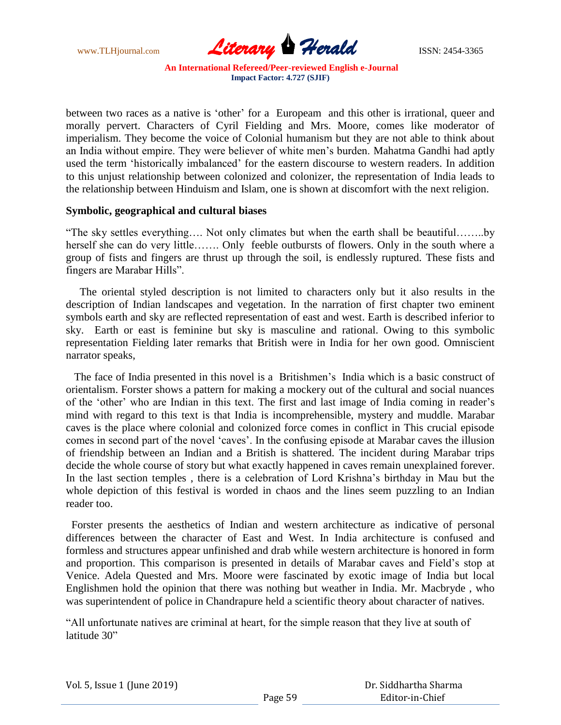

between two races as a native is "other" for a Europeam and this other is irrational, queer and morally pervert. Characters of Cyril Fielding and Mrs. Moore, comes like moderator of imperialism. They become the voice of Colonial humanism but they are not able to think about an India without empire. They were believer of white men"s burden. Mahatma Gandhi had aptly used the term 'historically imbalanced' for the eastern discourse to western readers. In addition to this unjust relationship between colonized and colonizer, the representation of India leads to the relationship between Hinduism and Islam, one is shown at discomfort with the next religion.

#### **Symbolic, geographical and cultural biases**

"The sky settles everything…. Not only climates but when the earth shall be beautiful……..by herself she can do very little……. Only feeble outbursts of flowers. Only in the south where a group of fists and fingers are thrust up through the soil, is endlessly ruptured. These fists and fingers are Marabar Hills".

 The oriental styled description is not limited to characters only but it also results in the description of Indian landscapes and vegetation. In the narration of first chapter two eminent symbols earth and sky are reflected representation of east and west. Earth is described inferior to sky. Earth or east is feminine but sky is masculine and rational. Owing to this symbolic representation Fielding later remarks that British were in India for her own good. Omniscient narrator speaks,

 The face of India presented in this novel is a Britishmen"s India which is a basic construct of orientalism. Forster shows a pattern for making a mockery out of the cultural and social nuances of the "other" who are Indian in this text. The first and last image of India coming in reader"s mind with regard to this text is that India is incomprehensible, mystery and muddle. Marabar caves is the place where colonial and colonized force comes in conflict in This crucial episode comes in second part of the novel "caves". In the confusing episode at Marabar caves the illusion of friendship between an Indian and a British is shattered. The incident during Marabar trips decide the whole course of story but what exactly happened in caves remain unexplained forever. In the last section temples , there is a celebration of Lord Krishna"s birthday in Mau but the whole depiction of this festival is worded in chaos and the lines seem puzzling to an Indian reader too.

Forster presents the aesthetics of Indian and western architecture as indicative of personal differences between the character of East and West. In India architecture is confused and formless and structures appear unfinished and drab while western architecture is honored in form and proportion. This comparison is presented in details of Marabar caves and Field"s stop at Venice. Adela Quested and Mrs. Moore were fascinated by exotic image of India but local Englishmen hold the opinion that there was nothing but weather in India. Mr. Macbryde , who was superintendent of police in Chandrapure held a scientific theory about character of natives.

"All unfortunate natives are criminal at heart, for the simple reason that they live at south of latitude 30"

|  |  |  | Vol. 5, Issue 1 (June 2019) |
|--|--|--|-----------------------------|
|--|--|--|-----------------------------|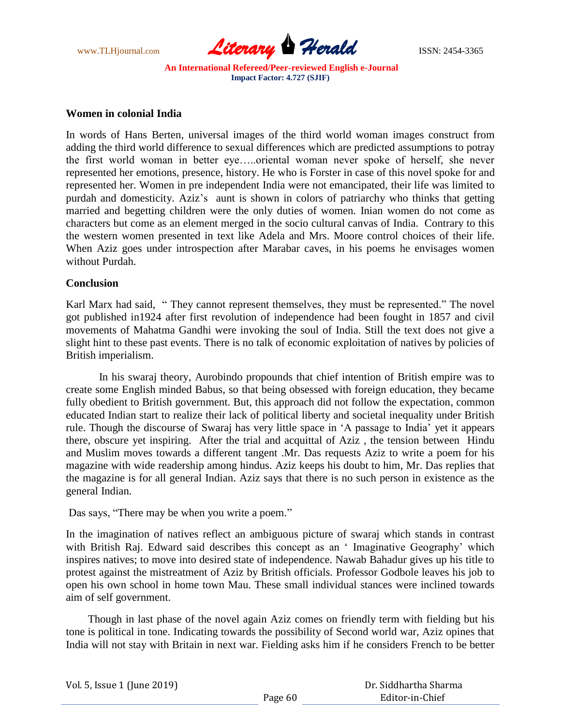

## **Women in colonial India**

In words of Hans Berten, universal images of the third world woman images construct from adding the third world difference to sexual differences which are predicted assumptions to potray the first world woman in better eye…..oriental woman never spoke of herself, she never represented her emotions, presence, history. He who is Forster in case of this novel spoke for and represented her. Women in pre independent India were not emancipated, their life was limited to purdah and domesticity. Aziz"s aunt is shown in colors of patriarchy who thinks that getting married and begetting children were the only duties of women. Inian women do not come as characters but come as an element merged in the socio cultural canvas of India. Contrary to this the western women presented in text like Adela and Mrs. Moore control choices of their life. When Aziz goes under introspection after Marabar caves, in his poems he envisages women without Purdah.

#### **Conclusion**

Karl Marx had said, " They cannot represent themselves, they must be represented." The novel got published in1924 after first revolution of independence had been fought in 1857 and civil movements of Mahatma Gandhi were invoking the soul of India. Still the text does not give a slight hint to these past events. There is no talk of economic exploitation of natives by policies of British imperialism.

 In his swaraj theory, Aurobindo propounds that chief intention of British empire was to create some English minded Babus, so that being obsessed with foreign education, they became fully obedient to British government. But, this approach did not follow the expectation, common educated Indian start to realize their lack of political liberty and societal inequality under British rule. Though the discourse of Swaraj has very little space in "A passage to India" yet it appears there, obscure yet inspiring. After the trial and acquittal of Aziz , the tension between Hindu and Muslim moves towards a different tangent .Mr. Das requests Aziz to write a poem for his magazine with wide readership among hindus. Aziz keeps his doubt to him, Mr. Das replies that the magazine is for all general Indian. Aziz says that there is no such person in existence as the general Indian.

Das says, "There may be when you write a poem."

In the imagination of natives reflect an ambiguous picture of swaraj which stands in contrast with British Raj. Edward said describes this concept as an ' Imaginative Geography' which inspires natives; to move into desired state of independence. Nawab Bahadur gives up his title to protest against the mistreatment of Aziz by British officials. Professor Godbole leaves his job to open his own school in home town Mau. These small individual stances were inclined towards aim of self government.

 Though in last phase of the novel again Aziz comes on friendly term with fielding but his tone is political in tone. Indicating towards the possibility of Second world war, Aziz opines that India will not stay with Britain in next war. Fielding asks him if he considers French to be better

| Vol. 5, Issue 1 (June 2019) |         | Dr. Siddhartha Sharma |
|-----------------------------|---------|-----------------------|
|                             | Page 60 | Editor-in-Chief       |